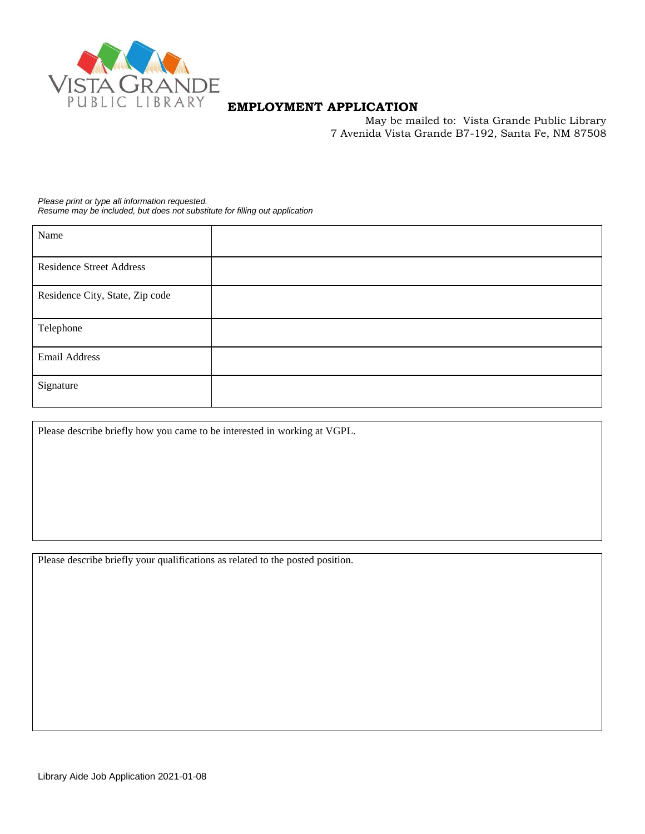

# **EMPLOYMENT APPLICATION**

May be mailed to: Vista Grande Public Library 7 Avenida Vista Grande B7-192, Santa Fe, NM 87508

*Please print or type all information requested. Resume may be included, but does not substitute for filling out application*

| Name                            |  |
|---------------------------------|--|
| <b>Residence Street Address</b> |  |
| Residence City, State, Zip code |  |
| Telephone                       |  |
| Email Address                   |  |
| Signature                       |  |

Please describe briefly how you came to be interested in working at VGPL.

Please describe briefly your qualifications as related to the posted position.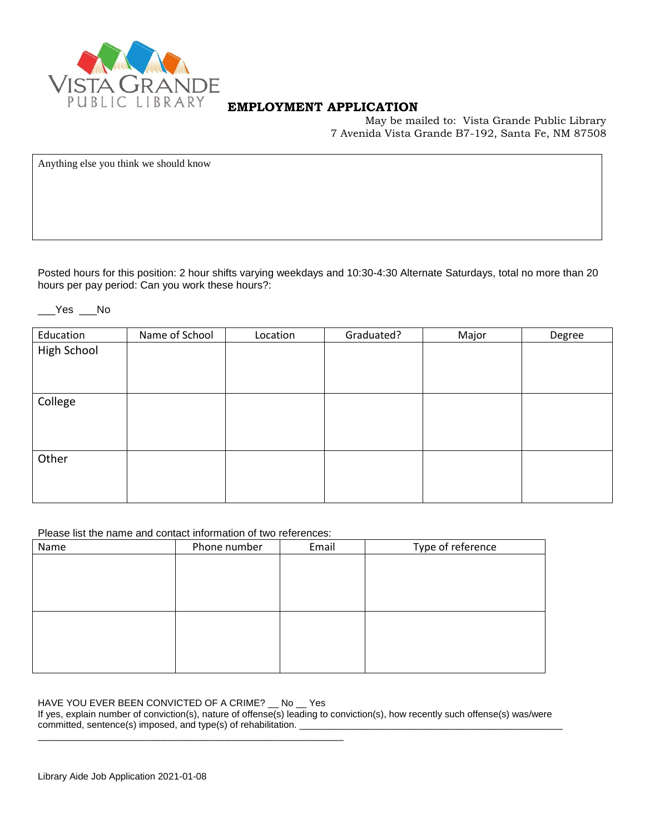

### **EMPLOYMENT APPLICATION**

May be mailed to: Vista Grande Public Library 7 Avenida Vista Grande B7-192, Santa Fe, NM 87508

Anything else you think we should know

Posted hours for this position: 2 hour shifts varying weekdays and 10:30-4:30 Alternate Saturdays, total no more than 20 hours per pay period: Can you work these hours?:

### \_\_\_Yes \_\_\_No

| Education   | Name of School | Location | Graduated? | Major | Degree |
|-------------|----------------|----------|------------|-------|--------|
| High School |                |          |            |       |        |
|             |                |          |            |       |        |
|             |                |          |            |       |        |
| College     |                |          |            |       |        |
|             |                |          |            |       |        |
|             |                |          |            |       |        |
|             |                |          |            |       |        |
| Other       |                |          |            |       |        |
|             |                |          |            |       |        |
|             |                |          |            |       |        |

#### Please list the name and contact information of two references:

| Name | Phone number | Email | Type of reference |
|------|--------------|-------|-------------------|
|      |              |       |                   |
|      |              |       |                   |
|      |              |       |                   |
|      |              |       |                   |
|      |              |       |                   |
|      |              |       |                   |
|      |              |       |                   |
|      |              |       |                   |

#### HAVE YOU EVER BEEN CONVICTED OF A CRIME? No Yes

\_\_\_\_\_\_\_\_\_\_\_\_\_\_\_\_\_\_\_\_\_\_\_\_\_\_\_\_\_\_\_\_\_\_\_\_\_\_\_\_\_\_\_\_\_\_\_\_\_\_\_\_\_\_\_\_\_\_

If yes, explain number of conviction(s), nature of offense(s) leading to conviction(s), how recently such offense(s) was/were committed, sentence(s) imposed, and type(s) of rehabilitation. \_\_